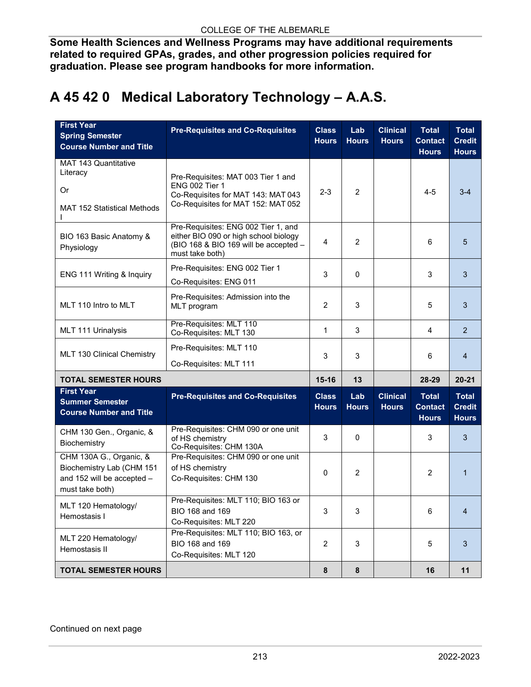**Some Health Sciences and Wellness Programs may have additional requirements related to required GPAs, grades, and other progression policies required for graduation. Please see program handbooks for more information.**

## **A 45 42 0 Medical Laboratory Technology – A.A.S.**

| <b>First Year</b><br><b>Spring Semester</b><br><b>Course Number and Title</b>                         | <b>Pre-Requisites and Co-Requisites</b>                                                                                                  | <b>Class</b><br><b>Hours</b> | Lab<br><b>Hours</b> | <b>Clinical</b><br><b>Hours</b> | <b>Total</b><br><b>Contact</b><br><b>Hours</b> | <b>Total</b><br><b>Credit</b><br><b>Hours</b> |
|-------------------------------------------------------------------------------------------------------|------------------------------------------------------------------------------------------------------------------------------------------|------------------------------|---------------------|---------------------------------|------------------------------------------------|-----------------------------------------------|
| MAT 143 Quantitative<br>Literacy<br><b>Or</b><br><b>MAT 152 Statistical Methods</b>                   | Pre-Requisites: MAT 003 Tier 1 and<br>ENG 002 Tier 1<br>Co-Requisites for MAT 143: MAT 043<br>Co-Requisites for MAT 152: MAT 052         | $2 - 3$                      | 2                   |                                 | $4 - 5$                                        | $3 - 4$                                       |
| BIO 163 Basic Anatomy &<br>Physiology                                                                 | Pre-Requisites: ENG 002 Tier 1, and<br>either BIO 090 or high school biology<br>(BIO 168 & BIO 169 will be accepted -<br>must take both) | $\overline{4}$               | $\overline{2}$      |                                 | 6                                              | 5                                             |
| ENG 111 Writing & Inquiry                                                                             | Pre-Requisites: ENG 002 Tier 1<br>Co-Requisites: ENG 011                                                                                 | 3                            | 0                   |                                 | 3                                              | 3                                             |
| MLT 110 Intro to MLT                                                                                  | Pre-Requisites: Admission into the<br>MLT program                                                                                        | $\overline{2}$               | 3                   |                                 | 5                                              | 3                                             |
| MLT 111 Urinalysis                                                                                    | Pre-Requisites: MLT 110<br>Co-Requisites: MLT 130                                                                                        | 1                            | 3                   |                                 | 4                                              | $\overline{2}$                                |
| MLT 130 Clinical Chemistry                                                                            | Pre-Requisites: MLT 110<br>Co-Requisites: MLT 111                                                                                        | 3                            | 3                   |                                 | 6                                              | $\overline{4}$                                |
| <b>TOTAL SEMESTER HOURS</b>                                                                           |                                                                                                                                          | $15 - 16$                    | 13                  |                                 | 28-29                                          | $20 - 21$                                     |
| <b>First Year</b><br><b>Summer Semester</b><br><b>Course Number and Title</b>                         | <b>Pre-Requisites and Co-Requisites</b>                                                                                                  | <b>Class</b><br><b>Hours</b> | Lab<br><b>Hours</b> | <b>Clinical</b><br><b>Hours</b> | <b>Total</b><br><b>Contact</b><br><b>Hours</b> | <b>Total</b><br><b>Credit</b><br><b>Hours</b> |
| CHM 130 Gen., Organic, &<br>Biochemistry                                                              | Pre-Requisites: CHM 090 or one unit<br>of HS chemistry<br>Co-Requisites: CHM 130A                                                        | 3                            | 0                   |                                 | 3                                              | 3                                             |
| CHM 130A G., Organic, &<br>Biochemistry Lab (CHM 151<br>and 152 will be accepted -<br>must take both) | Pre-Requisites: CHM 090 or one unit<br>of HS chemistry<br>Co-Requisites: CHM 130                                                         | $\mathbf 0$                  | $\overline{2}$      |                                 | 2                                              | 1                                             |
| MLT 120 Hematology/<br>Hemostasis I                                                                   | Pre-Requisites: MLT 110; BIO 163 or<br>BIO 168 and 169<br>Co-Requisites: MLT 220                                                         | 3                            | 3                   |                                 | 6                                              | 4                                             |
| MLT 220 Hematology/<br>Hemostasis II                                                                  | Pre-Requisites: MLT 110; BIO 163, or<br>BIO 168 and 169<br>Co-Requisites: MLT 120                                                        | $\overline{2}$               | 3                   |                                 | 5                                              | 3                                             |
| <b>TOTAL SEMESTER HOURS</b>                                                                           |                                                                                                                                          | $\pmb{8}$                    | 8                   |                                 | 16                                             | 11                                            |